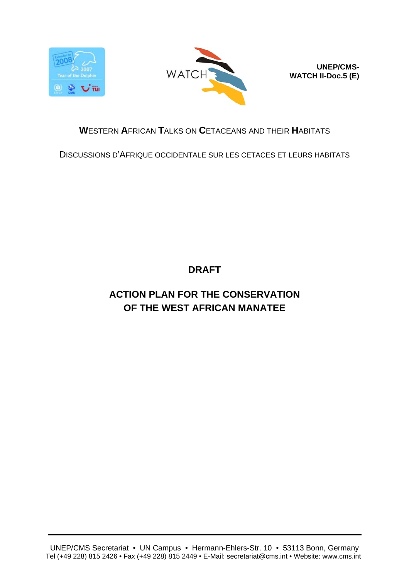



**UNEP/CMS-WATCH II-Doc.5 (E)**

# **W**ESTERN **A**FRICAN **T**ALKS ON **C**ETACEANS AND THEIR **H**ABITATS

DISCUSSIONS D'AFRIQUE OCCIDENTALE SUR LES CETACES ET LEURS HABITATS

**DRAFT** 

# **ACTION PLAN FOR THE CONSERVATION OF THE WEST AFRICAN MANATEE**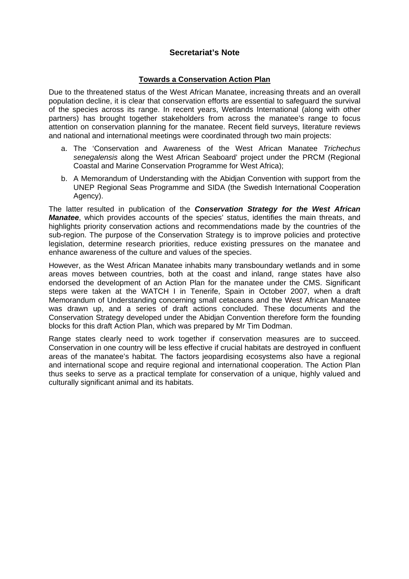# **Secretariat's Note**

#### **Towards a Conservation Action Plan**

Due to the threatened status of the West African Manatee, increasing threats and an overall population decline, it is clear that conservation efforts are essential to safeguard the survival of the species across its range. In recent years, Wetlands International (along with other partners) has brought together stakeholders from across the manatee's range to focus attention on conservation planning for the manatee. Recent field surveys, literature reviews and national and international meetings were coordinated through two main projects:

- a. The 'Conservation and Awareness of the West African Manatee *Trichechus senegalensis* along the West African Seaboard' project under the PRCM (Regional Coastal and Marine Conservation Programme for West Africa);
- b. A Memorandum of Understanding with the Abidjan Convention with support from the UNEP Regional Seas Programme and SIDA (the Swedish International Cooperation Agency).

The latter resulted in publication of the *Conservation Strategy for the West African Manatee*, which provides accounts of the species' status, identifies the main threats, and highlights priority conservation actions and recommendations made by the countries of the sub-region. The purpose of the Conservation Strategy is to improve policies and protective legislation, determine research priorities, reduce existing pressures on the manatee and enhance awareness of the culture and values of the species.

However, as the West African Manatee inhabits many transboundary wetlands and in some areas moves between countries, both at the coast and inland, range states have also endorsed the development of an Action Plan for the manatee under the CMS. Significant steps were taken at the WATCH I in Tenerife, Spain in October 2007, when a draft Memorandum of Understanding concerning small cetaceans and the West African Manatee was drawn up, and a series of draft actions concluded. These documents and the Conservation Strategy developed under the Abidjan Convention therefore form the founding blocks for this draft Action Plan, which was prepared by Mr Tim Dodman.

Range states clearly need to work together if conservation measures are to succeed. Conservation in one country will be less effective if crucial habitats are destroyed in confluent areas of the manatee's habitat. The factors jeopardising ecosystems also have a regional and international scope and require regional and international cooperation. The Action Plan thus seeks to serve as a practical template for conservation of a unique, highly valued and culturally significant animal and its habitats.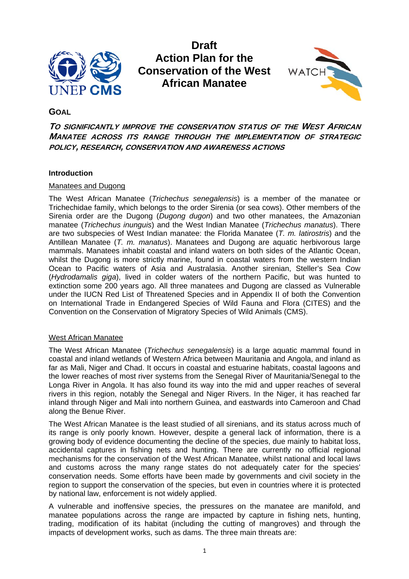

# **Draft Action Plan for the Conservation of the West African Manatee**



# **GOAL**

**TO SIGNIFICANTLY IMPROVE THE CONSERVATION STATUS OF THE WEST AFRICAN MANATEE ACROSS ITS RANGE THROUGH THE IMPLEMENTATION OF STRATEGIC POLICY, RESEARCH, CONSERVATION AND AWARENESS ACTIONS**

#### **Introduction**

#### Manatees and Dugong

The West African Manatee (*Trichechus senegalensis*) is a member of the manatee or Trichechidae family, which belongs to the order Sirenia (or sea cows). Other members of the Sirenia order are the Dugong (*Dugong dugon*) and two other manatees, the Amazonian manatee (*Trichechus inunguis*) and the West Indian Manatee (*Trichechus manatus*). There are two subspecies of West Indian manatee: the Florida Manatee (*T. m. latirostris*) and the Antillean Manatee (*T. m. manatus*). Manatees and Dugong are aquatic herbivorous large mammals. Manatees inhabit coastal and inland waters on both sides of the Atlantic Ocean, whilst the Dugong is more strictly marine, found in coastal waters from the western Indian Ocean to Pacific waters of Asia and Australasia. Another sirenian, Steller's Sea Cow (*Hydrodamalis giga*), lived in colder waters of the northern Pacific, but was hunted to extinction some 200 years ago. All three manatees and Dugong are classed as Vulnerable under the IUCN Red List of Threatened Species and in Appendix II of both the Convention on International Trade in Endangered Species of Wild Fauna and Flora (CITES) and the Convention on the Conservation of Migratory Species of Wild Animals (CMS).

#### West African Manatee

The West African Manatee (*Trichechus senegalensis*) is a large aquatic mammal found in coastal and inland wetlands of Western Africa between Mauritania and Angola, and inland as far as Mali, Niger and Chad. It occurs in coastal and estuarine habitats, coastal lagoons and the lower reaches of most river systems from the Senegal River of Mauritania/Senegal to the Longa River in Angola. It has also found its way into the mid and upper reaches of several rivers in this region, notably the Senegal and Niger Rivers. In the Niger, it has reached far inland through Niger and Mali into northern Guinea, and eastwards into Cameroon and Chad along the Benue River.

The West African Manatee is the least studied of all sirenians, and its status across much of its range is only poorly known. However, despite a general lack of information, there is a growing body of evidence documenting the decline of the species, due mainly to habitat loss, accidental captures in fishing nets and hunting. There are currently no official regional mechanisms for the conservation of the West African Manatee, whilst national and local laws and customs across the many range states do not adequately cater for the species' conservation needs. Some efforts have been made by governments and civil society in the region to support the conservation of the species, but even in countries where it is protected by national law, enforcement is not widely applied.

A vulnerable and inoffensive species, the pressures on the manatee are manifold, and manatee populations across the range are impacted by capture in fishing nets, hunting, trading, modification of its habitat (including the cutting of mangroves) and through the impacts of development works, such as dams. The three main threats are: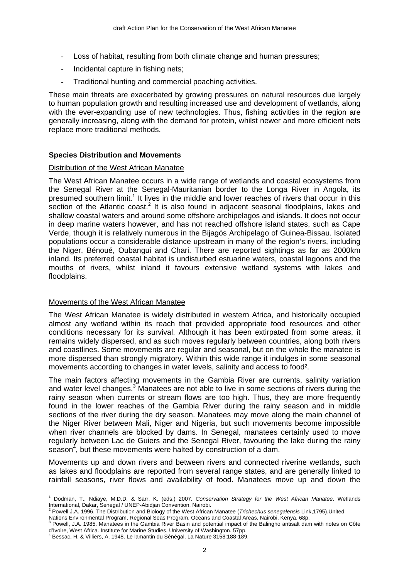- Loss of habitat, resulting from both climate change and human pressures;
- Incidental capture in fishing nets;
- Traditional hunting and commercial poaching activities.

These main threats are exacerbated by growing pressures on natural resources due largely to human population growth and resulting increased use and development of wetlands, along with the ever-expanding use of new technologies. Thus, fishing activities in the region are generally increasing, along with the demand for protein, whilst newer and more efficient nets replace more traditional methods.

# **Species Distribution and Movements**

#### Distribution of the West African Manatee

The West African Manatee occurs in a wide range of wetlands and coastal ecosystems from the Senegal River at the Senegal-Mauritanian border to the Longa River in Angola, its presumed southern limit.<sup>1</sup> It lives in the middle and lower reaches of rivers that occur in this section of the Atlantic coast.<sup>2</sup> It is also found in adjacent seasonal floodplains, lakes and shallow coastal waters and around some offshore archipelagos and islands. It does not occur in deep marine waters however, and has not reached offshore island states, such as Cape Verde, though it is relatively numerous in the Bijagós Archipelago of Guinea-Bissau. Isolated populations occur a considerable distance upstream in many of the region's rivers, including the Niger, Bénoué, Oubangui and Chari. There are reported sightings as far as 2000km inland. Its preferred coastal habitat is undisturbed estuarine waters, coastal lagoons and the mouths of rivers, whilst inland it favours extensive wetland systems with lakes and floodplains.

#### Movements of the West African Manatee

The West African Manatee is widely distributed in western Africa, and historically occupied almost any wetland within its reach that provided appropriate food resources and other conditions necessary for its survival. Although it has been extirpated from some areas, it remains widely dispersed, and as such moves regularly between countries, along both rivers and coastlines. Some movements are regular and seasonal, but on the whole the manatee is more dispersed than strongly migratory. Within this wide range it indulges in some seasonal movements according to changes in water levels, salinity and access to food².

The main factors affecting movements in the Gambia River are currents, salinity variation and water level changes.<sup>3</sup> Manatees are not able to live in some sections of rivers during the rainy season when currents or stream flows are too high. Thus, they are more frequently found in the lower reaches of the Gambia River during the rainy season and in middle sections of the river during the dry season. Manatees may move along the main channel of the Niger River between Mali, Niger and Nigeria, but such movements become impossible when river channels are blocked by dams. In Senegal, manatees certainly used to move regularly between Lac de Guiers and the Senegal River, favouring the lake during the rainy season<sup>4</sup>, but these movements were halted by construction of a dam.

Movements up and down rivers and between rivers and connected riverine wetlands, such as lakes and floodplains are reported from several range states, and are generally linked to rainfall seasons, river flows and availability of food. Manatees move up and down the

 1 Dodman, T., Ndiaye, M.D.D. & Sarr, K. (eds.) 2007. *Conservation Strategy for the West African Manatee*. Wetlands International, Dakar, Senegal / UNEP-Abidjan Convention, Nairobi.

<sup>2</sup> Powell J.A. 1996. The Distribution and Biology of the West African Manatee (*Trichechus senegalensis* Link,1795).United Nations Environmental Program, Regional Seas Program, Oceans and Coastal Areas, Nairobi, Kenya. 68p. 3

Powell, J.A. 1985. Manatees in the Gambia River Basin and potential impact of the Balingho antisalt dam with notes on Côte

d'Ivoire, West Africa. Institute for Marine Studies, University of Washington. 57pp. 4

Bessac, H. & Villiers, A. 1948. Le lamantin du Sénégal. La Nature 3158:188-189.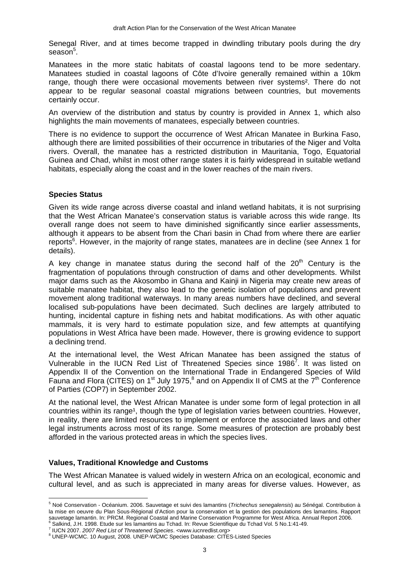Senegal River, and at times become trapped in dwindling tributary pools during the dry season<sup>5</sup>.

Manatees in the more static habitats of coastal lagoons tend to be more sedentary. Manatees studied in coastal lagoons of Côte d'Ivoire generally remained within a 10km range, though there were occasional movements between river systems². There do not appear to be regular seasonal coastal migrations between countries, but movements certainly occur.

An overview of the distribution and status by country is provided in Annex 1, which also highlights the main movements of manatees, especially between countries.

There is no evidence to support the occurrence of West African Manatee in Burkina Faso, although there are limited possibilities of their occurrence in tributaries of the Niger and Volta rivers. Overall, the manatee has a restricted distribution in Mauritania, Togo, Equatorial Guinea and Chad, whilst in most other range states it is fairly widespread in suitable wetland habitats, especially along the coast and in the lower reaches of the main rivers.

# **Species Status**

Given its wide range across diverse coastal and inland wetland habitats, it is not surprising that the West African Manatee's conservation status is variable across this wide range. Its overall range does not seem to have diminished significantly since earlier assessments, although it appears to be absent from the Chari basin in Chad from where there are earlier reports<sup>6</sup>. However, in the majority of range states, manatees are in decline (see Annex 1 for details).

A key change in manatee status during the second half of the  $20<sup>th</sup>$  Century is the fragmentation of populations through construction of dams and other developments. Whilst major dams such as the Akosombo in Ghana and Kainji in Nigeria may create new areas of suitable manatee habitat, they also lead to the genetic isolation of populations and prevent movement along traditional waterways. In many areas numbers have declined, and several localised sub-populations have been decimated. Such declines are largely attributed to hunting, incidental capture in fishing nets and habitat modifications. As with other aquatic mammals, it is very hard to estimate population size, and few attempts at quantifying populations in West Africa have been made. However, there is growing evidence to support a declining trend.

At the international level, the West African Manatee has been assigned the status of Vulnerable in the IUCN Red List of Threatened Species since 1986<sup>7</sup>. It was listed on Appendix II of the Convention on the International Trade in Endangered Species of Wild Fauna and Flora (CITES) on 1<sup>st</sup> July 1975,<sup>8</sup> and on Appendix II of CMS at the 7<sup>th</sup> Conference of Parties (COP7) in September 2002.

At the national level, the West African Manatee is under some form of legal protection in all countries within its range<sup>1</sup>, though the type of legislation varies between countries. However, in reality, there are limited resources to implement or enforce the associated laws and other legal instruments across most of its range. Some measures of protection are probably best afforded in the various protected areas in which the species lives.

# **Values, Traditional Knowledge and Customs**

The West African Manatee is valued widely in western Africa on an ecological, economic and cultural level, and as such is appreciated in many areas for diverse values. However, as

 5 Noé Conservation - Océanium. 2006. Sauvetage et suivi des lamantins (*Trichechus senegalensis*) au Sénégal. Contribution à la mise en oeuvre du Plan Sous-Régional d'Action pour la conservation et la gestion des populations des lamantins. Rapport sauvetage lamantin. In: PRCM. Regional Coastal and Marine Conservation Programme for West Africa. Annual Report 2006. Salkind, J.H. 1998. Etude sur les lamantins au Tchad. In: Revue Scientifique du Tchad Vol. 5 No.1:41-49.

IUCN 2007. *2007 Red List of Threatened Species*. <www.iucnredlist.org> 8

UNEP-WCMC. 10 August, 2008. UNEP-WCMC Species Database: CITES-Listed Species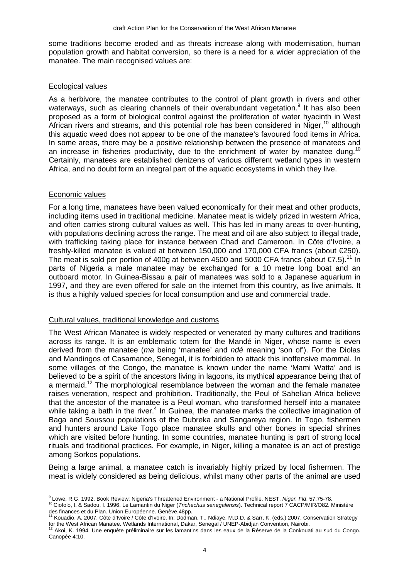some traditions become eroded and as threats increase along with modernisation, human population growth and habitat conversion, so there is a need for a wider appreciation of the manatee. The main recognised values are:

#### Ecological values

As a herbivore, the manatee contributes to the control of plant growth in rivers and other waterways, such as clearing channels of their overabundant vegetation.<sup>9</sup> It has also been proposed as a form of biological control against the proliferation of water hyacinth in West African rivers and streams, and this potential role has been considered in Niger.<sup>10</sup> although this aquatic weed does not appear to be one of the manatee's favoured food items in Africa. In some areas, there may be a positive relationship between the presence of manatees and an increase in fisheries productivity, due to the enrichment of water by manatee dung.<sup>10</sup> Certainly, manatees are established denizens of various different wetland types in western Africa, and no doubt form an integral part of the aquatic ecosystems in which they live.

#### Economic values

For a long time, manatees have been valued economically for their meat and other products, including items used in traditional medicine. Manatee meat is widely prized in western Africa, and often carries strong cultural values as well. This has led in many areas to over-hunting, with populations declining across the range. The meat and oil are also subject to illegal trade, with trafficking taking place for instance between Chad and Cameroon. In Côte d'Ivoire, a freshly-killed manatee is valued at between 150,000 and 170,000 CFA francs (about €250). The meat is sold per portion of 400g at between 4500 and 5000 CFA francs (about  $\epsilon$ 7.5).<sup>11</sup> In parts of Nigeria a male manatee may be exchanged for a 10 metre long boat and an outboard motor. In Guinea-Bissau a pair of manatees was sold to a Japanese aquarium in 1997, and they are even offered for sale on the internet from this country, as live animals. It is thus a highly valued species for local consumption and use and commercial trade.

#### Cultural values, traditional knowledge and customs

The West African Manatee is widely respected or venerated by many cultures and traditions across its range. It is an emblematic totem for the Mandé in Niger, whose name is even derived from the manatee (*ma* being 'manatee' and *ndé* meaning 'son of'). For the Diolas and Mandingos of Casamance, Senegal, it is forbidden to attack this inoffensive mammal. In some villages of the Congo, the manatee is known under the name 'Mami Watta' and is believed to be a spirit of the ancestors living in lagoons, its mythical appearance being that of a mermaid.<sup>12</sup> The morphological resemblance between the woman and the female manatee raises veneration, respect and prohibition. Traditionally, the Peul of Sahelian Africa believe that the ancestor of the manatee is a Peul woman, who transformed herself into a manatee while taking a bath in the river.<sup>4</sup> In Guinea, the manatee marks the collective imagination of Baga and Soussou populations of the Dubreka and Sangareya region. In Togo, fishermen and hunters around Lake Togo place manatee skulls and other bones in special shrines which are visited before hunting. In some countries, manatee hunting is part of strong local rituals and traditional practices. For example, in Niger, killing a manatee is an act of prestige among Sorkos populations.

Being a large animal, a manatee catch is invariably highly prized by local fishermen. The meat is widely considered as being delicious, whilst many other parts of the animal are used

 $\overline{a}$ 9 Lowe, R.G. 1992. Book Review: Nigeria's Threatened Environment - a National Profile. NEST. *Niger. Fld*. 57:75-78.

<sup>10</sup> Ciofolo, I. & Sadou, I. 1996. Le Lamantin du Niger (*Trichechus senegalensis*). Technical report 7 CACP/MIR/O82. Ministère des finances et du Plan. Union Européenne. Genève.48pp.<br>14 Kouselis et du Plan. Union Européenne. Genève.48pp.

<sup>11</sup> Kouadio, A. 2007. Côte d'Ivoire / Côte d'Ivoire. In: Dodman, T., Ndiaye, M.D.D. & Sarr, K. (eds.) 2007. Conservation Strategy for the West African Manatee. Wetlands International, Dakar, Senegal / UNEP-Abidjan Convention, Nairobi.<br><sup>12</sup> Akoi, K. 1994. Une enquête préliminaire sur les lamantins dans les eaux de la Réserve de la Conkouati au sud du

Canopée 4:10.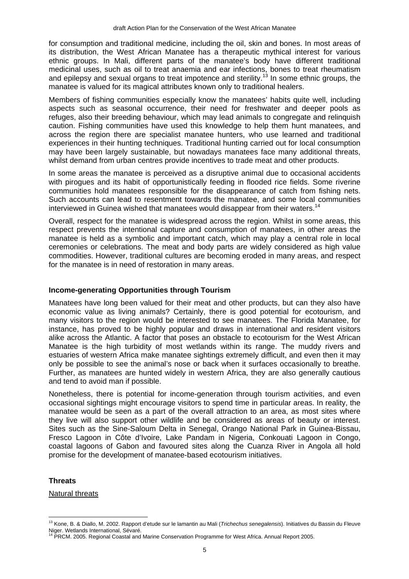for consumption and traditional medicine, including the oil, skin and bones. In most areas of its distribution, the West African Manatee has a therapeutic mythical interest for various ethnic groups. In Mali, different parts of the manatee's body have different traditional medicinal uses, such as oil to treat anaemia and ear infections, bones to treat rheumatism and epilepsy and sexual organs to treat impotence and sterility.<sup>13</sup> In some ethnic groups, the manatee is valued for its magical attributes known only to traditional healers.

Members of fishing communities especially know the manatees' habits quite well, including aspects such as seasonal occurrence, their need for freshwater and deeper pools as refuges, also their breeding behaviour, which may lead animals to congregate and relinquish caution. Fishing communities have used this knowledge to help them hunt manatees, and across the region there are specialist manatee hunters, who use learned and traditional experiences in their hunting techniques. Traditional hunting carried out for local consumption may have been largely sustainable, but nowadays manatees face many additional threats, whilst demand from urban centres provide incentives to trade meat and other products.

In some areas the manatee is perceived as a disruptive animal due to occasional accidents with pirogues and its habit of opportunistically feeding in flooded rice fields. Some riverine communities hold manatees responsible for the disappearance of catch from fishing nets. Such accounts can lead to resentment towards the manatee, and some local communities interviewed in Guinea wished that manatees would disappear from their waters.<sup>14</sup>

Overall, respect for the manatee is widespread across the region. Whilst in some areas, this respect prevents the intentional capture and consumption of manatees, in other areas the manatee is held as a symbolic and important catch, which may play a central role in local ceremonies or celebrations. The meat and body parts are widely considered as high value commodities. However, traditional cultures are becoming eroded in many areas, and respect for the manatee is in need of restoration in many areas.

#### **Income-generating Opportunities through Tourism**

Manatees have long been valued for their meat and other products, but can they also have economic value as living animals? Certainly, there is good potential for ecotourism, and many visitors to the region would be interested to see manatees. The Florida Manatee, for instance, has proved to be highly popular and draws in international and resident visitors alike across the Atlantic. A factor that poses an obstacle to ecotourism for the West African Manatee is the high turbidity of most wetlands within its range. The muddy rivers and estuaries of western Africa make manatee sightings extremely difficult, and even then it may only be possible to see the animal's nose or back when it surfaces occasionally to breathe. Further, as manatees are hunted widely in western Africa, they are also generally cautious and tend to avoid man if possible.

Nonetheless, there is potential for income-generation through tourism activities, and even occasional sightings might encourage visitors to spend time in particular areas. In reality, the manatee would be seen as a part of the overall attraction to an area, as most sites where they live will also support other wildlife and be considered as areas of beauty or interest. Sites such as the Sine-Saloum Delta in Senegal, Orango National Park in Guinea-Bissau, Fresco Lagoon in Côte d'Ivoire, Lake Pandam in Nigeria, Conkouati Lagoon in Congo, coastal lagoons of Gabon and favoured sites along the Cuanza River in Angola all hold promise for the development of manatee-based ecotourism initiatives.

#### **Threats**

 $\overline{a}$ 

Natural threats

<sup>13</sup> Kone, B. & Diallo, M. 2002. Rapport d'etude sur le lamantin au Mali (*Trichechus senegalensis*). Initiatives du Bassin du Fleuve Niger. Wetlands International, Sévaré.<br><sup>14</sup> PRCM. 2005. Regional Coastal and Marine Conservation Programme for West Africa. Annual Report 2005.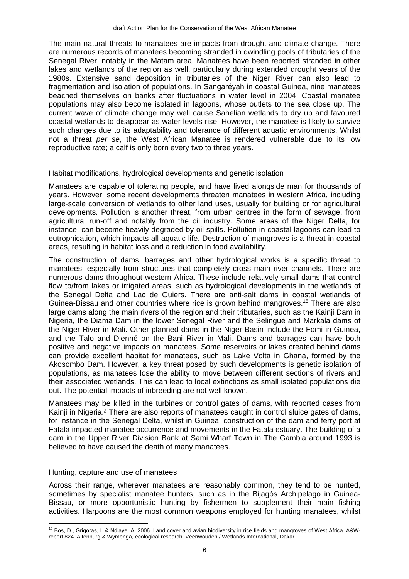The main natural threats to manatees are impacts from drought and climate change. There are numerous records of manatees becoming stranded in dwindling pools of tributaries of the Senegal River, notably in the Matam area. Manatees have been reported stranded in other lakes and wetlands of the region as well, particularly during extended drought years of the 1980s. Extensive sand deposition in tributaries of the Niger River can also lead to fragmentation and isolation of populations. In Sangaréyah in coastal Guinea, nine manatees beached themselves on banks after fluctuations in water level in 2004. Coastal manatee populations may also become isolated in lagoons, whose outlets to the sea close up. The current wave of climate change may well cause Sahelian wetlands to dry up and favoured coastal wetlands to disappear as water levels rise. However, the manatee is likely to survive such changes due to its adaptability and tolerance of different aquatic environments. Whilst not a threat *per se*, the West African Manatee is rendered vulnerable due to its low reproductive rate; a calf is only born every two to three years.

# Habitat modifications, hydrological developments and genetic isolation

Manatees are capable of tolerating people, and have lived alongside man for thousands of years. However, some recent developments threaten manatees in western Africa, including large-scale conversion of wetlands to other land uses, usually for building or for agricultural developments. Pollution is another threat, from urban centres in the form of sewage, from agricultural run-off and notably from the oil industry. Some areas of the Niger Delta, for instance, can become heavily degraded by oil spills. Pollution in coastal lagoons can lead to eutrophication, which impacts all aquatic life. Destruction of mangroves is a threat in coastal areas, resulting in habitat loss and a reduction in food availability.

The construction of dams, barrages and other hydrological works is a specific threat to manatees, especially from structures that completely cross main river channels. There are numerous dams throughout western Africa. These include relatively small dams that control flow to/from lakes or irrigated areas, such as hydrological developments in the wetlands of the Senegal Delta and Lac de Guiers. There are anti-salt dams in coastal wetlands of Guinea-Bissau and other countries where rice is grown behind mangroves.<sup>15</sup> There are also large dams along the main rivers of the region and their tributaries, such as the Kainji Dam in Nigeria, the Diama Dam in the lower Senegal River and the Selingué and Markala dams of the Niger River in Mali. Other planned dams in the Niger Basin include the Fomi in Guinea, and the Talo and Djenné on the Bani River in Mali. Dams and barrages can have both positive and negative impacts on manatees. Some reservoirs or lakes created behind dams can provide excellent habitat for manatees, such as Lake Volta in Ghana, formed by the Akosombo Dam. However, a key threat posed by such developments is genetic isolation of populations, as manatees lose the ability to move between different sections of rivers and their associated wetlands. This can lead to local extinctions as small isolated populations die out. The potential impacts of inbreeding are not well known.

Manatees may be killed in the turbines or control gates of dams, with reported cases from Kainji in Nigeria.² There are also reports of manatees caught in control sluice gates of dams, for instance in the Senegal Delta, whilst in Guinea, construction of the dam and ferry port at Fatala impacted manatee occurrence and movements in the Fatala estuary. The building of a dam in the Upper River Division Bank at Sami Wharf Town in The Gambia around 1993 is believed to have caused the death of many manatees.

#### Hunting, capture and use of manatees

Across their range, wherever manatees are reasonably common, they tend to be hunted, sometimes by specialist manatee hunters, such as in the Bijagós Archipelago in Guinea-Bissau, or more opportunistic hunting by fishermen to supplement their main fishing activities. Harpoons are the most common weapons employed for hunting manatees, whilst

 $\overline{a}$ <sup>15</sup> Bos, D., Grigoras, I. & Ndiaye, A. 2006. Land cover and avian biodiversity in rice fields and mangroves of West Africa. A&Wreport 824. Altenburg & Wymenga, ecological research, Veenwouden / Wetlands International, Dakar.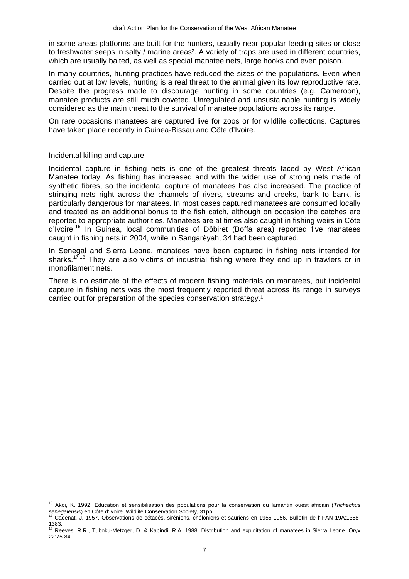in some areas platforms are built for the hunters, usually near popular feeding sites or close to freshwater seeps in salty / marine areas². A variety of traps are used in different countries, which are usually baited, as well as special manatee nets, large hooks and even poison.

In many countries, hunting practices have reduced the sizes of the populations. Even when carried out at low levels, hunting is a real threat to the animal given its low reproductive rate. Despite the progress made to discourage hunting in some countries (e.g. Cameroon), manatee products are still much coveted. Unregulated and unsustainable hunting is widely considered as the main threat to the survival of manatee populations across its range.

On rare occasions manatees are captured live for zoos or for wildlife collections. Captures have taken place recently in Guinea-Bissau and Côte d'Ivoire.

#### Incidental killing and capture

 $\overline{a}$ 

Incidental capture in fishing nets is one of the greatest threats faced by West African Manatee today. As fishing has increased and with the wider use of strong nets made of synthetic fibres, so the incidental capture of manatees has also increased. The practice of stringing nets right across the channels of rivers, streams and creeks, bank to bank, is particularly dangerous for manatees. In most cases captured manatees are consumed locally and treated as an additional bonus to the fish catch, although on occasion the catches are reported to appropriate authorities. Manatees are at times also caught in fishing weirs in Côte d'Ivoire.<sup>16</sup> In Guinea, local communities of Dôbiret (Boffa area) reported five manatees caught in fishing nets in 2004, while in Sangaréyah, 34 had been captured.

In Senegal and Sierra Leone, manatees have been captured in fishing nets intended for sharks.<sup>17,18</sup> They are also victims of industrial fishing where they end up in trawlers or in monofilament nets.

There is no estimate of the effects of modern fishing materials on manatees, but incidental capture in fishing nets was the most frequently reported threat across its range in surveys carried out for preparation of the species conservation strategy.<sup>1</sup>

<sup>16</sup> Akoi, K. 1992. Education et sensibilisation des populations pour la conservation du lamantin ouest africain (*Trichechus*  senegalensis) en Côte d'Ivoire. Wildlife Conservation Society, 31pp.<br><sup>17</sup> Cadenat, J. 1957. Observations de cétacés, siréniens, chéloniens et sauriens en 1955-1956. Bulletin de l'IFAN 19A:1358-

<sup>1383.</sup> 

<sup>&</sup>lt;sup>8</sup> Reeves, R.R., Tuboku-Metzger, D. & Kapindi, R.A. 1988. Distribution and exploitation of manatees in Sierra Leone. Oryx 22:75-84.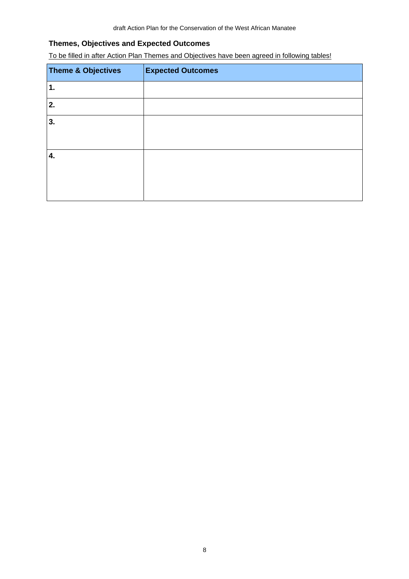# **Themes, Objectives and Expected Outcomes**

To be filled in after Action Plan Themes and Objectives have been agreed in following tables!

| <b>Theme &amp; Objectives</b> | <b>Expected Outcomes</b> |
|-------------------------------|--------------------------|
| 1.                            |                          |
| 2.                            |                          |
| 3.                            |                          |
|                               |                          |
| 4.                            |                          |
|                               |                          |
|                               |                          |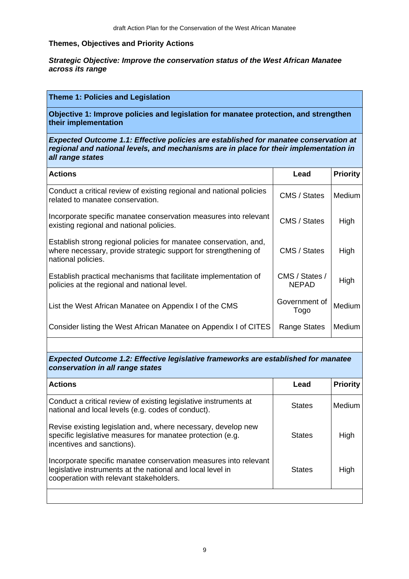#### **Themes, Objectives and Priority Actions**

#### *Strategic Objective: Improve the conservation status of the West African Manatee across its range*

# **Theme 1: Policies and Legislation**

**Objective 1: Improve policies and legislation for manatee protection, and strengthen their implementation** 

*Expected Outcome 1.1: Effective policies are established for manatee conservation at regional and national levels, and mechanisms are in place for their implementation in all range states* 

| <b>Actions</b>                                                                                                                                             | Lead                           | <b>Priority</b> |
|------------------------------------------------------------------------------------------------------------------------------------------------------------|--------------------------------|-----------------|
| Conduct a critical review of existing regional and national policies<br>related to manatee conservation.                                                   | CMS / States                   | Medium          |
| Incorporate specific manatee conservation measures into relevant<br>existing regional and national policies.                                               | CMS / States                   | High            |
| Establish strong regional policies for manatee conservation, and,<br>where necessary, provide strategic support for strengthening of<br>national policies. | CMS / States                   | High            |
| Establish practical mechanisms that facilitate implementation of<br>policies at the regional and national level.                                           | CMS / States /<br><b>NEPAD</b> | High            |
| List the West African Manatee on Appendix I of the CMS                                                                                                     | Government of<br>Togo          | Medium          |
| Consider listing the West African Manatee on Appendix I of CITES                                                                                           | Range States                   | Medium          |

*Expected Outcome 1.2: Effective legislative frameworks are established for manatee conservation in all range states* 

| <b>Actions</b>                                                                                                                                                            | Lead          | <b>Priority</b> |
|---------------------------------------------------------------------------------------------------------------------------------------------------------------------------|---------------|-----------------|
| Conduct a critical review of existing legislative instruments at<br>national and local levels (e.g. codes of conduct).                                                    | <b>States</b> | Medium          |
| Revise existing legislation and, where necessary, develop new<br>specific legislative measures for manatee protection (e.g.<br>incentives and sanctions).                 | <b>States</b> | High            |
| Incorporate specific manatee conservation measures into relevant<br>legislative instruments at the national and local level in<br>cooperation with relevant stakeholders. | <b>States</b> | High            |
|                                                                                                                                                                           |               |                 |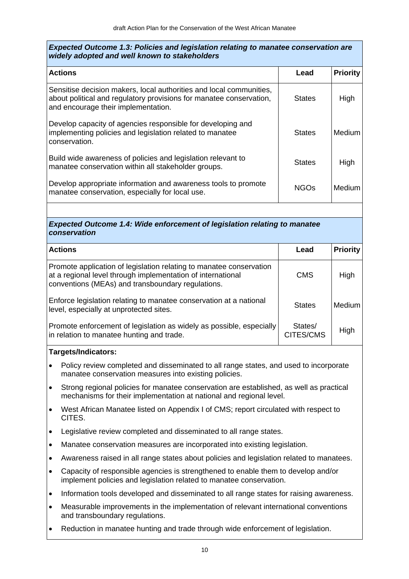| Lead          | <b>Priority</b> |
|---------------|-----------------|
| <b>States</b> | High            |
| <b>States</b> | <b>Medium</b>   |
| <b>States</b> | High            |
| <b>NGOs</b>   | Medium          |
|               |                 |

# *Expected Outcome 1.3: Policies and legislation relating to manatee conservation are*

# *Expected Outcome 1.4: Wide enforcement of legislation relating to manatee conservation*

| <b>Actions</b>                                                                                                                                                                          | Lead                 | <b>Priority</b> |
|-----------------------------------------------------------------------------------------------------------------------------------------------------------------------------------------|----------------------|-----------------|
| Promote application of legislation relating to manatee conservation<br>at a regional level through implementation of international<br>conventions (MEAs) and transboundary regulations. | <b>CMS</b>           | High            |
| Enforce legislation relating to manatee conservation at a national<br>level, especially at unprotected sites.                                                                           | <b>States</b>        | Medium I        |
| Promote enforcement of legislation as widely as possible, especially<br>in relation to manatee hunting and trade.                                                                       | States/<br>CITES/CMS | High            |

# **Targets/Indicators:**

- Policy review completed and disseminated to all range states, and used to incorporate manatee conservation measures into existing policies.
- Strong regional policies for manatee conservation are established, as well as practical mechanisms for their implementation at national and regional level.
- West African Manatee listed on Appendix I of CMS; report circulated with respect to CITES.
- Legislative review completed and disseminated to all range states.
- Manatee conservation measures are incorporated into existing legislation.
- Awareness raised in all range states about policies and legislation related to manatees.
- Capacity of responsible agencies is strengthened to enable them to develop and/or implement policies and legislation related to manatee conservation.
- Information tools developed and disseminated to all range states for raising awareness.
- Measurable improvements in the implementation of relevant international conventions and transboundary regulations.
- Reduction in manatee hunting and trade through wide enforcement of legislation.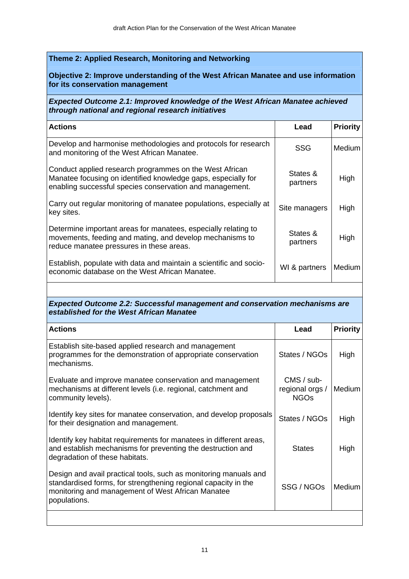# **Theme 2: Applied Research, Monitoring and Networking**

#### **Objective 2: Improve understanding of the West African Manatee and use information for its conservation management**

*Expected Outcome 2.1: Improved knowledge of the West African Manatee achieved through national and regional research initiatives* 

| <b>Actions</b>                                                                                                                                                                       | Lead                 | <b>Priority</b> |
|--------------------------------------------------------------------------------------------------------------------------------------------------------------------------------------|----------------------|-----------------|
| Develop and harmonise methodologies and protocols for research<br>and monitoring of the West African Manatee.                                                                        | SSG                  | <b>Medium</b>   |
| Conduct applied research programmes on the West African<br>Manatee focusing on identified knowledge gaps, especially for<br>enabling successful species conservation and management. | States &<br>partners | High            |
| Carry out regular monitoring of manatee populations, especially at<br>key sites.                                                                                                     | Site managers        | High            |
| Determine important areas for manatees, especially relating to<br>movements, feeding and mating, and develop mechanisms to<br>reduce manatee pressures in these areas.               | States &<br>partners | High            |
| Establish, populate with data and maintain a scientific and socio-<br>economic database on the West African Manatee.                                                                 | WI & partners        | Medium          |

# *Expected Outcome 2.2: Successful management and conservation mechanisms are established for the West African Manatee*

| <b>Actions</b>                                                                                                                                                                                          | Lead                                           | <b>Priority</b> |
|---------------------------------------------------------------------------------------------------------------------------------------------------------------------------------------------------------|------------------------------------------------|-----------------|
| Establish site-based applied research and management<br>programmes for the demonstration of appropriate conservation<br>mechanisms.                                                                     | States / NGOs                                  | High            |
| Evaluate and improve manatee conservation and management<br>mechanisms at different levels (i.e. regional, catchment and<br>community levels).                                                          | $CMS / sub-$<br>regional orgs /<br><b>NGOs</b> | Medium          |
| Identify key sites for manatee conservation, and develop proposals<br>for their designation and management.                                                                                             | States / NGOs                                  | High            |
| Identify key habitat requirements for manatees in different areas,<br>and establish mechanisms for preventing the destruction and<br>degradation of these habitats.                                     | <b>States</b>                                  | High            |
| Design and avail practical tools, such as monitoring manuals and<br>standardised forms, for strengthening regional capacity in the<br>monitoring and management of West African Manatee<br>populations. | SSG / NGOs                                     | Medium          |
|                                                                                                                                                                                                         |                                                |                 |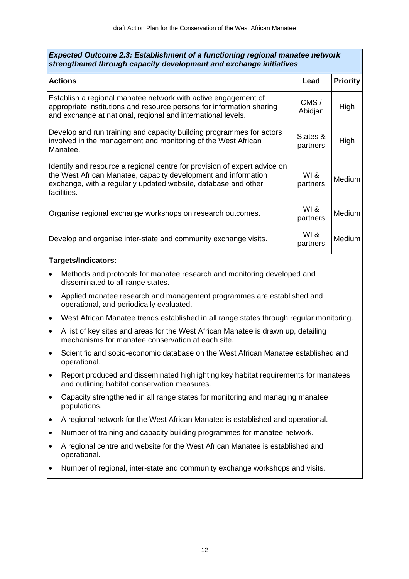| strengthened through capacity development and exchange initiatives                                                        |                                                                                                                                                                                                                              |                      |                 |
|---------------------------------------------------------------------------------------------------------------------------|------------------------------------------------------------------------------------------------------------------------------------------------------------------------------------------------------------------------------|----------------------|-----------------|
|                                                                                                                           | <b>Actions</b>                                                                                                                                                                                                               | Lead                 | <b>Priority</b> |
|                                                                                                                           | Establish a regional manatee network with active engagement of<br>appropriate institutions and resource persons for information sharing<br>and exchange at national, regional and international levels.                      | CMS /<br>Abidjan     | High            |
|                                                                                                                           | Develop and run training and capacity building programmes for actors<br>involved in the management and monitoring of the West African<br>Manatee.                                                                            | States &<br>partners | High            |
|                                                                                                                           | Identify and resource a regional centre for provision of expert advice on<br>the West African Manatee, capacity development and information<br>exchange, with a regularly updated website, database and other<br>facilities. | $W1$ &<br>partners   | Medium          |
|                                                                                                                           | Organise regional exchange workshops on research outcomes.                                                                                                                                                                   | WI &<br>partners     | Medium          |
|                                                                                                                           | Develop and organise inter-state and community exchange visits.                                                                                                                                                              | WI &<br>partners     | Medium          |
|                                                                                                                           | Targets/Indicators:                                                                                                                                                                                                          |                      |                 |
| Methods and protocols for manatee research and monitoring developed and<br>$\bullet$<br>disseminated to all range states. |                                                                                                                                                                                                                              |                      |                 |
| $\bullet$                                                                                                                 | Applied manatee research and management programmes are established and<br>operational, and periodically evaluated.                                                                                                           |                      |                 |
| $\bullet$                                                                                                                 | West African Manatee trends established in all range states through regular monitoring.                                                                                                                                      |                      |                 |
| $\bullet$                                                                                                                 | A list of key sites and areas for the West African Manatee is drawn up, detailing<br>mechanisms for manatee conservation at each site.                                                                                       |                      |                 |
| $\bullet$                                                                                                                 | Scientific and socio-economic database on the West African Manatee established and<br>operational.                                                                                                                           |                      |                 |
| ٠                                                                                                                         | Report produced and disseminated highlighting key habitat requirements for manatees<br>and outlining habitat conservation measures.                                                                                          |                      |                 |
| $\bullet$                                                                                                                 | Capacity strengthened in all range states for monitoring and managing manatee<br>populations.                                                                                                                                |                      |                 |
| ٠                                                                                                                         | A regional network for the West African Manatee is established and operational.                                                                                                                                              |                      |                 |
| ٠                                                                                                                         | Number of training and capacity building programmes for manatee network.                                                                                                                                                     |                      |                 |
|                                                                                                                           | A regional centre and website for the West African Manatee is established and<br>operational.                                                                                                                                |                      |                 |
|                                                                                                                           | Number of regional, inter-state and community exchange workshops and visits.                                                                                                                                                 |                      |                 |
|                                                                                                                           |                                                                                                                                                                                                                              |                      |                 |

# *Expected Outcome 2.3: Establishment of a functioning regional manatee network strengthened through capacity development and exchange initiatives*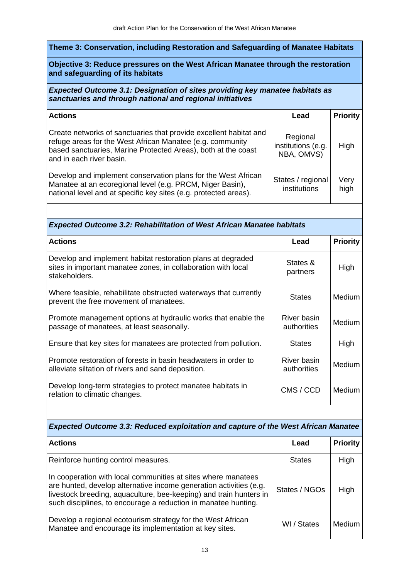#### **Theme 3: Conservation, including Restoration and Safeguarding of Manatee Habitats**

#### **Objective 3: Reduce pressures on the West African Manatee through the restoration and safeguarding of its habitats**

#### *Expected Outcome 3.1: Designation of sites providing key manatee habitats as sanctuaries and through national and regional initiatives*

| <b>Actions</b>                                                                                                                                                                                                              | Lead                                         | <b>Priority</b> |
|-----------------------------------------------------------------------------------------------------------------------------------------------------------------------------------------------------------------------------|----------------------------------------------|-----------------|
| Create networks of sanctuaries that provide excellent habitat and<br>refuge areas for the West African Manatee (e.g. community<br>based sanctuaries, Marine Protected Areas), both at the coast<br>and in each river basin. | Regional<br>institutions (e.g.<br>NBA, OMVS) | High            |
| Develop and implement conservation plans for the West African<br>Manatee at an ecoregional level (e.g. PRCM, Niger Basin),<br>national level and at specific key sites (e.g. protected areas).                              | States / regional<br>institutions            | Very<br>high    |

# *Expected Outcome 3.2: Rehabilitation of West African Manatee habitats*

| <b>Actions</b>                                                                                                                                | Lead                       | <b>Priority</b> |
|-----------------------------------------------------------------------------------------------------------------------------------------------|----------------------------|-----------------|
| Develop and implement habitat restoration plans at degraded<br>sites in important manatee zones, in collaboration with local<br>stakeholders. | States &<br>partners       | High            |
| Where feasible, rehabilitate obstructed waterways that currently<br>prevent the free movement of manatees.                                    | <b>States</b>              | <b>Medium</b>   |
| Promote management options at hydraulic works that enable the<br>passage of manatees, at least seasonally.                                    | River basin<br>authorities | <b>Medium</b>   |
| Ensure that key sites for manatees are protected from pollution.                                                                              | <b>States</b>              | High            |
| Promote restoration of forests in basin headwaters in order to<br>alleviate siltation of rivers and sand deposition.                          | River basin<br>authorities | <b>Medium</b>   |
| Develop long-term strategies to protect manatee habitats in<br>relation to climatic changes.                                                  | CMS / CCD                  | <b>Medium</b>   |

# *Expected Outcome 3.3: Reduced exploitation and capture of the West African Manatee*

| <b>Actions</b>                                                                                                                                                                                                                                                              | Lead          | <b>Priority</b> |
|-----------------------------------------------------------------------------------------------------------------------------------------------------------------------------------------------------------------------------------------------------------------------------|---------------|-----------------|
| Reinforce hunting control measures.                                                                                                                                                                                                                                         | <b>States</b> | High            |
| In cooperation with local communities at sites where manatees<br>are hunted, develop alternative income generation activities (e.g.<br>livestock breeding, aquaculture, bee-keeping) and train hunters in<br>such disciplines, to encourage a reduction in manatee hunting. | States / NGOs | High            |
| Develop a regional ecotourism strategy for the West African<br>Manatee and encourage its implementation at key sites.                                                                                                                                                       | WI / States   | Medium          |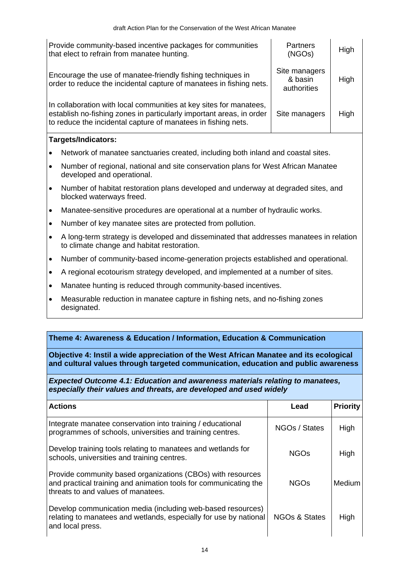| Provide community-based incentive packages for communities<br>that elect to refrain from manatee hunting.                                                                                                   | <b>Partners</b><br>(NGOs)               | High |
|-------------------------------------------------------------------------------------------------------------------------------------------------------------------------------------------------------------|-----------------------------------------|------|
| Encourage the use of manatee-friendly fishing techniques in<br>order to reduce the incidental capture of manatees in fishing nets.                                                                          | Site managers<br>& basin<br>authorities | High |
| In collaboration with local communities at key sites for manatees,<br>establish no-fishing zones in particularly important areas, in order<br>to reduce the incidental capture of manatees in fishing nets. | Site managers                           | High |
| Targets/Indicators:                                                                                                                                                                                         |                                         |      |

# • Network of manatee sanctuaries created, including both inland and coastal sites.

- Number of regional, national and site conservation plans for West African Manatee developed and operational.
- Number of habitat restoration plans developed and underway at degraded sites, and blocked waterways freed.
- Manatee-sensitive procedures are operational at a number of hydraulic works.
- Number of key manatee sites are protected from pollution.
- A long-term strategy is developed and disseminated that addresses manatees in relation to climate change and habitat restoration.
- Number of community-based income-generation projects established and operational.
- A regional ecotourism strategy developed, and implemented at a number of sites.
- Manatee hunting is reduced through community-based incentives.
- Measurable reduction in manatee capture in fishing nets, and no-fishing zones designated.

# **Theme 4: Awareness & Education / Information, Education & Communication**

**Objective 4: Instil a wide appreciation of the West African Manatee and its ecological and cultural values through targeted communication, education and public awareness** 

*Expected Outcome 4.1: Education and awareness materials relating to manatees, especially their values and threats, are developed and used widely* 

| <b>Actions</b>                                                                                                                                                        | Lead                     | <b>Priority</b> |
|-----------------------------------------------------------------------------------------------------------------------------------------------------------------------|--------------------------|-----------------|
| Integrate manatee conservation into training / educational<br>programmes of schools, universities and training centres.                                               | NGOs / States            | High            |
| Develop training tools relating to manatees and wetlands for<br>schools, universities and training centres.                                                           | <b>NGO<sub>S</sub></b>   | High            |
| Provide community based organizations (CBOs) with resources<br>and practical training and animation tools for communicating the<br>threats to and values of manatees. | NGO <sub>S</sub>         | <b>Medium</b>   |
| Develop communication media (including web-based resources)<br>relating to manatees and wetlands, especially for use by national<br>and local press.                  | <b>NGOs &amp; States</b> | High            |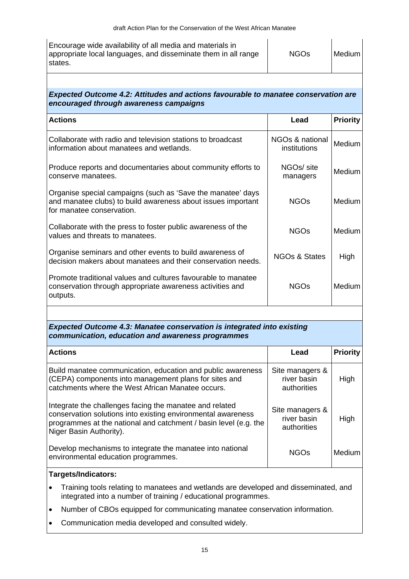| Encourage wide availability of all media and materials in      |             |        |
|----------------------------------------------------------------|-------------|--------|
| appropriate local languages, and disseminate them in all range | <b>NGOs</b> | Medium |
| states.                                                        |             |        |

*Expected Outcome 4.2: Attitudes and actions favourable to manatee conservation are encouraged through awareness campaigns* 

| <b>Actions</b>                                                                                                                                           | Lead                               | <b>Priority</b> |
|----------------------------------------------------------------------------------------------------------------------------------------------------------|------------------------------------|-----------------|
| Collaborate with radio and television stations to broadcast<br>information about manatees and wetlands.                                                  | NGOs & national<br>institutions    | Medium          |
| Produce reports and documentaries about community efforts to<br>conserve manatees.                                                                       | NGO <sub>s</sub> /site<br>managers | Medium          |
| Organise special campaigns (such as 'Save the manatee' days<br>and manatee clubs) to build awareness about issues important<br>for manatee conservation. | <b>NGOs</b>                        | Medium          |
| Collaborate with the press to foster public awareness of the<br>values and threats to manatees.                                                          | <b>NGOs</b>                        | Medium          |
| Organise seminars and other events to build awareness of<br>decision makers about manatees and their conservation needs.                                 | <b>NGOs &amp; States</b>           | High            |
| Promote traditional values and cultures favourable to manatee<br>conservation through appropriate awareness activities and<br>outputs.                   | <b>NGOs</b>                        | Medium          |

#### *Expected Outcome 4.3: Manatee conservation is integrated into existing communication, education and awareness programmes*

| <b>Actions</b>                                                                                                                                                                                                         | Lead                                          | <b>Priority</b> |
|------------------------------------------------------------------------------------------------------------------------------------------------------------------------------------------------------------------------|-----------------------------------------------|-----------------|
| Build manatee communication, education and public awareness<br>(CEPA) components into management plans for sites and<br>catchments where the West African Manatee occurs.                                              | Site managers &<br>river basin<br>authorities | High            |
| Integrate the challenges facing the manatee and related<br>conservation solutions into existing environmental awareness<br>programmes at the national and catchment / basin level (e.g. the<br>Niger Basin Authority). | Site managers &<br>river basin<br>authorities | High            |
| Develop mechanisms to integrate the manatee into national<br>environmental education programmes.                                                                                                                       | NGO <sub>S</sub>                              | Medium          |

#### **Targets/Indicators:**

- Training tools relating to manatees and wetlands are developed and disseminated, and integrated into a number of training / educational programmes.
- Number of CBOs equipped for communicating manatee conservation information.
- Communication media developed and consulted widely.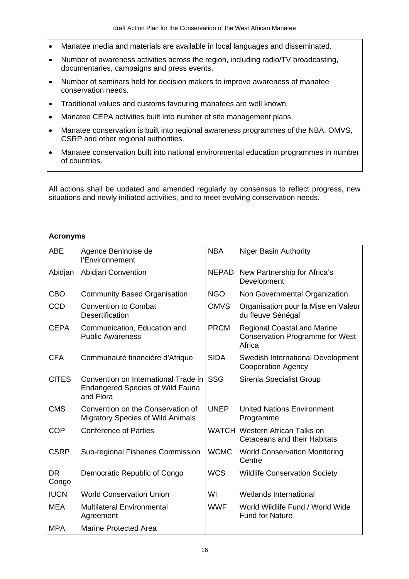- Manatee media and materials are available in local languages and disseminated.
- Number of awareness activities across the region, including radio/TV broadcasting, documentaries, campaigns and press events.
- Number of seminars held for decision makers to improve awareness of manatee conservation needs.
- Traditional values and customs favouring manatees are well known.
- Manatee CEPA activities built into number of site management plans.
- Manatee conservation is built into regional awareness programmes of the NBA, OMVS, CSRP and other regional authorities.
- Manatee conservation built into national environmental education programmes in number of countries.

All actions shall be updated and amended regularly by consensus to reflect progress, new situations and newly initiated activities, and to meet evolving conservation needs.

#### **Acronyms**

| <b>ABE</b>         | Agence Beninoise de<br>l'Environnement                                                       | <b>NBA</b>  | <b>Niger Basin Authority</b>                                                           |
|--------------------|----------------------------------------------------------------------------------------------|-------------|----------------------------------------------------------------------------------------|
| Abidjan            | <b>Abidjan Convention</b>                                                                    | NEPAD       | New Partnership for Africa's<br>Development                                            |
| <b>CBO</b>         | <b>Community Based Organisation</b>                                                          | <b>NGO</b>  | Non Governmental Organization                                                          |
| <b>CCD</b>         | <b>Convention to Combat</b><br>Desertification                                               | <b>OMVS</b> | Organisation pour la Mise en Valeur<br>du fleuve Sénégal                               |
| <b>CEPA</b>        | Communication, Education and<br><b>Public Awareness</b>                                      | <b>PRCM</b> | <b>Regional Coastal and Marine</b><br><b>Conservation Programme for West</b><br>Africa |
| <b>CFA</b>         | Communauté financière d'Afrique                                                              | <b>SIDA</b> | Swedish International Development<br><b>Cooperation Agency</b>                         |
| <b>CITES</b>       | Convention on International Trade in<br><b>Endangered Species of Wild Fauna</b><br>and Flora | <b>SSG</b>  | Sirenia Specialist Group                                                               |
| <b>CMS</b>         | Convention on the Conservation of<br><b>Migratory Species of Wild Animals</b>                | <b>UNEP</b> | <b>United Nations Environment</b><br>Programme                                         |
| <b>COP</b>         | <b>Conference of Parties</b>                                                                 |             | <b>WATCH Western African Talks on</b><br>Cetaceans and their Habitats                  |
| <b>CSRP</b>        | Sub-regional Fisheries Commission                                                            | <b>WCMC</b> | <b>World Conservation Monitoring</b><br>Centre                                         |
| <b>DR</b><br>Congo | Democratic Republic of Congo                                                                 | <b>WCS</b>  | <b>Wildlife Conservation Society</b>                                                   |
| <b>IUCN</b>        | <b>World Conservation Union</b>                                                              | WI          | Wetlands International                                                                 |
| <b>MEA</b>         | <b>Multilateral Environmental</b><br>Agreement                                               | <b>WWF</b>  | World Wildlife Fund / World Wide<br><b>Fund for Nature</b>                             |
| <b>MPA</b>         | <b>Marine Protected Area</b>                                                                 |             |                                                                                        |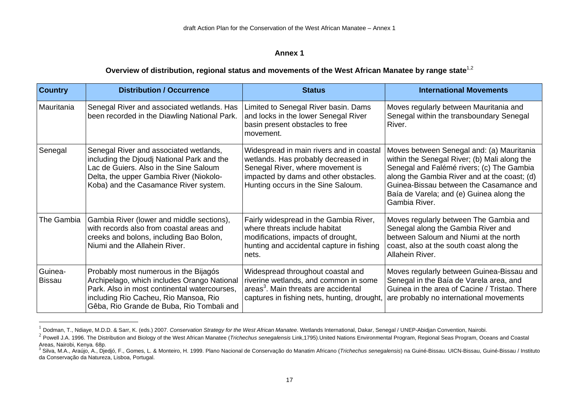#### **Annex 1**

# **Overview of distribution, regional status and movements of the West African Manatee by range state**1,2

| <b>Country</b>           | <b>Distribution / Occurrence</b>                                                                                                                                                                                           | <b>Status</b>                                                                                                                                                                                      | <b>International Movements</b>                                                                                                                                                                                                                                                                 |
|--------------------------|----------------------------------------------------------------------------------------------------------------------------------------------------------------------------------------------------------------------------|----------------------------------------------------------------------------------------------------------------------------------------------------------------------------------------------------|------------------------------------------------------------------------------------------------------------------------------------------------------------------------------------------------------------------------------------------------------------------------------------------------|
| Mauritania               | Senegal River and associated wetlands. Has<br>been recorded in the Diawling National Park.                                                                                                                                 | Limited to Senegal River basin. Dams<br>and locks in the lower Senegal River<br>basin present obstacles to free<br>movement.                                                                       | Moves regularly between Mauritania and<br>Senegal within the transboundary Senegal<br>River.                                                                                                                                                                                                   |
| Senegal                  | Senegal River and associated wetlands,<br>including the Djoudj National Park and the<br>Lac de Guiers. Also in the Sine Saloum<br>Delta, the upper Gambia River (Niokolo-<br>Koba) and the Casamance River system.         | Widespread in main rivers and in coastal<br>wetlands. Has probably decreased in<br>Senegal River, where movement is<br>impacted by dams and other obstacles.<br>Hunting occurs in the Sine Saloum. | Moves between Senegal and: (a) Mauritania<br>within the Senegal River; (b) Mali along the<br>Senegal and Falémé rivers; (c) The Gambia<br>along the Gambia River and at the coast; (d)<br>Guinea-Bissau between the Casamance and<br>Baía de Varela; and (e) Guinea along the<br>Gambia River. |
| The Gambia               | Gambia River (lower and middle sections),<br>with records also from coastal areas and<br>creeks and bolons, including Bao Bolon,<br>Niumi and the Allahein River.                                                          | Fairly widespread in the Gambia River,<br>where threats include habitat<br>modifications, impacts of drought,<br>hunting and accidental capture in fishing<br>nets.                                | Moves regularly between The Gambia and<br>Senegal along the Gambia River and<br>between Saloum and Niumi at the north<br>coast, also at the south coast along the<br>Allahein River.                                                                                                           |
| Guinea-<br><b>Bissau</b> | Probably most numerous in the Bijagós<br>Archipelago, which includes Orango National<br>Park. Also in most continental watercourses,<br>including Rio Cacheu, Rio Mansoa, Rio<br>Gêba, Rio Grande de Buba, Rio Tombali and | Widespread throughout coastal and<br>riverine wetlands, and common in some<br>areas <sup>3</sup> . Main threats are accidental<br>captures in fishing nets, hunting, drought,                      | Moves regularly between Guinea-Bissau and<br>Senegal in the Baía de Varela area, and<br>Guinea in the area of Cacine / Tristao. There<br>are probably no international movements                                                                                                               |

<sup>&</sup>lt;sup>1</sup> Dodman, T., Ndiaye, M.D.D. & Sarr, K. (eds.) 2007. Conservation Strategy for the West African Manatee. Wetlands International, Dakar, Senegal / UNEP-Abidjan Convention, Nairobi.

<sup>2</sup> Powell J.A. 1996. The Distribution and Biology of the West African Manatee (*Trichechus senegalensis* Link,1795).United Nations Environmental Program, Regional Seas Program, Oceans and Coastal Areas, Nairobi, Kenya. 68p.<br><sup>3</sup> Silva, M.A., Araújo, A., Djedjó, F., Gomes, L. & Monteiro, H. 1999. Plano Nacional de Conservação do Manatim Africano (*Trichechus senegalensis*) na Guiné-Bissau. UICN-Bissau, Guiné-Bissau /

da Conservação da Natureza, Lisboa, Portugal.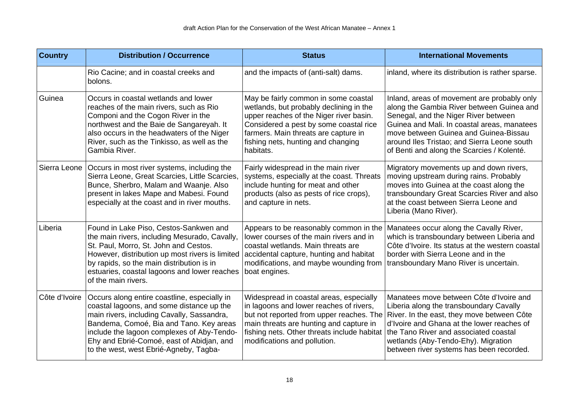| <b>Country</b> | <b>Distribution / Occurrence</b>                                                                                                                                                                                                                                                                                        | <b>Status</b>                                                                                                                                                                                                                                                   | <b>International Movements</b>                                                                                                                                                                                                                                                                                        |
|----------------|-------------------------------------------------------------------------------------------------------------------------------------------------------------------------------------------------------------------------------------------------------------------------------------------------------------------------|-----------------------------------------------------------------------------------------------------------------------------------------------------------------------------------------------------------------------------------------------------------------|-----------------------------------------------------------------------------------------------------------------------------------------------------------------------------------------------------------------------------------------------------------------------------------------------------------------------|
|                | Rio Cacine; and in coastal creeks and<br>bolons.                                                                                                                                                                                                                                                                        | and the impacts of (anti-salt) dams.                                                                                                                                                                                                                            | inland, where its distribution is rather sparse.                                                                                                                                                                                                                                                                      |
| Guinea         | Occurs in coastal wetlands and lower<br>reaches of the main rivers, such as Rio<br>Componi and the Cogon River in the<br>northwest and the Baie de Sangareyah. It<br>also occurs in the headwaters of the Niger<br>River, such as the Tinkisso, as well as the<br>Gambia River.                                         | May be fairly common in some coastal<br>wetlands, but probably declining in the<br>upper reaches of the Niger river basin.<br>Considered a pest by some coastal rice<br>farmers. Main threats are capture in<br>fishing nets, hunting and changing<br>habitats. | Inland, areas of movement are probably only<br>along the Gambia River between Guinea and<br>Senegal, and the Niger River between<br>Guinea and Mali. In coastal areas, manatees<br>move between Guinea and Guinea-Bissau<br>around Iles Tristao; and Sierra Leone south<br>of Benti and along the Scarcies / Kolenté. |
|                | Sierra Leone   Occurs in most river systems, including the<br>Sierra Leone, Great Scarcies, Little Scarcies,<br>Bunce, Sherbro, Malam and Waanje. Also<br>present in lakes Mape and Mabesi. Found<br>especially at the coast and in river mouths.                                                                       | Fairly widespread in the main river<br>systems, especially at the coast. Threats<br>include hunting for meat and other<br>products (also as pests of rice crops),<br>and capture in nets.                                                                       | Migratory movements up and down rivers,<br>moving upstream during rains. Probably<br>moves into Guinea at the coast along the<br>transboundary Great Scarcies River and also<br>at the coast between Sierra Leone and<br>Liberia (Mano River).                                                                        |
| Liberia        | Found in Lake Piso, Cestos-Sankwen and<br>the main rivers, including Mesurado, Cavally,<br>St. Paul, Morro, St. John and Cestos.<br>However, distribution up most rivers is limited<br>by rapids, so the main distribution is in<br>estuaries, coastal lagoons and lower reaches<br>of the main rivers.                 | Appears to be reasonably common in the<br>lower courses of the main rivers and in<br>coastal wetlands. Main threats are<br>accidental capture, hunting and habitat<br>modifications, and maybe wounding from<br>boat engines.                                   | Manatees occur along the Cavally River,<br>which is transboundary between Liberia and<br>Côte d'Ivoire. Its status at the western coastal<br>border with Sierra Leone and in the<br>transboundary Mano River is uncertain.                                                                                            |
| Côte d'Ivoire  | Occurs along entire coastline, especially in<br>coastal lagoons, and some distance up the<br>main rivers, including Cavally, Sassandra,<br>Bandema, Comoé, Bia and Tano. Key areas<br>include the lagoon complexes of Aby-Tendo-<br>Ehy and Ebrié-Comoé, east of Abidjan, and<br>to the west, west Ebrié-Agneby, Tagba- | Widespread in coastal areas, especially<br>in lagoons and lower reaches of rivers,<br>but not reported from upper reaches. The<br>main threats are hunting and capture in<br>fishing nets. Other threats include habitat<br>modifications and pollution.        | Manatees move between Côte d'Ivoire and<br>Liberia along the transboundary Cavally<br>River. In the east, they move between Côte<br>d'Ivoire and Ghana at the lower reaches of<br>the Tano River and associated coastal<br>wetlands (Aby-Tendo-Ehy). Migration<br>between river systems has been recorded.            |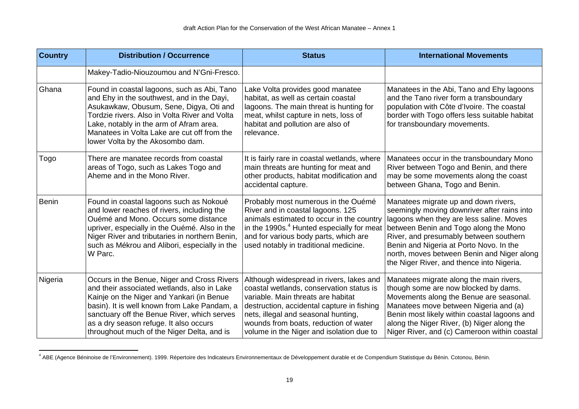| <b>Country</b> | <b>Distribution / Occurrence</b>                                                                                                                                                                                                                                                                                               | <b>Status</b>                                                                                                                                                                                                                                                                                        | <b>International Movements</b>                                                                                                                                                                                                                                                                                                                           |
|----------------|--------------------------------------------------------------------------------------------------------------------------------------------------------------------------------------------------------------------------------------------------------------------------------------------------------------------------------|------------------------------------------------------------------------------------------------------------------------------------------------------------------------------------------------------------------------------------------------------------------------------------------------------|----------------------------------------------------------------------------------------------------------------------------------------------------------------------------------------------------------------------------------------------------------------------------------------------------------------------------------------------------------|
|                | Makey-Tadio-Niouzoumou and N'Gni-Fresco.                                                                                                                                                                                                                                                                                       |                                                                                                                                                                                                                                                                                                      |                                                                                                                                                                                                                                                                                                                                                          |
| Ghana          | Found in coastal lagoons, such as Abi, Tano<br>and Ehy in the southwest, and in the Dayi,<br>Asukawkaw, Obusum, Sene, Digya, Oti and<br>Tordzie rivers. Also in Volta River and Volta<br>Lake, notably in the arm of Afram area.<br>Manatees in Volta Lake are cut off from the<br>lower Volta by the Akosombo dam.            | Lake Volta provides good manatee<br>habitat, as well as certain coastal<br>lagoons. The main threat is hunting for<br>meat, whilst capture in nets, loss of<br>habitat and pollution are also of<br>relevance.                                                                                       | Manatees in the Abi, Tano and Ehy lagoons<br>and the Tano river form a transboundary<br>population with Côte d'Ivoire. The coastal<br>border with Togo offers less suitable habitat<br>for transboundary movements.                                                                                                                                      |
| Togo           | There are manatee records from coastal<br>areas of Togo, such as Lakes Togo and<br>Aheme and in the Mono River.                                                                                                                                                                                                                | It is fairly rare in coastal wetlands, where<br>main threats are hunting for meat and<br>other products, habitat modification and<br>accidental capture.                                                                                                                                             | Manatees occur in the transboundary Mono<br>River between Togo and Benin, and there<br>may be some movements along the coast<br>between Ghana, Togo and Benin.                                                                                                                                                                                           |
| <b>Benin</b>   | Found in coastal lagoons such as Nokoué<br>and lower reaches of rivers, including the<br>Ouémé and Mono. Occurs some distance<br>upriver, especially in the Ouémé. Also in the<br>Niger River and tributaries in northern Benin,<br>such as Mékrou and Alibori, especially in the<br>W Parc.                                   | Probably most numerous in the Ouémé<br>River and in coastal lagoons. 125<br>animals estimated to occur in the country<br>in the 1990s. <sup>4</sup> Hunted especially for meat<br>and for various body parts, which are<br>used notably in traditional medicine.                                     | Manatees migrate up and down rivers,<br>seemingly moving downriver after rains into<br>lagoons when they are less saline. Moves<br>between Benin and Togo along the Mono<br>River, and presumably between southern<br>Benin and Nigeria at Porto Novo. In the<br>north, moves between Benin and Niger along<br>the Niger River, and thence into Nigeria. |
| Nigeria        | Occurs in the Benue, Niger and Cross Rivers<br>and their associated wetlands, also in Lake<br>Kainje on the Niger and Yankari (in Benue<br>basin). It is well known from Lake Pandam, a<br>sanctuary off the Benue River, which serves<br>as a dry season refuge. It also occurs<br>throughout much of the Niger Delta, and is | Although widespread in rivers, lakes and<br>coastal wetlands, conservation status is<br>variable. Main threats are habitat<br>destruction, accidental capture in fishing<br>nets, illegal and seasonal hunting,<br>wounds from boats, reduction of water<br>volume in the Niger and isolation due to | Manatees migrate along the main rivers,<br>though some are now blocked by dams.<br>Movements along the Benue are seasonal.<br>Manatees move between Nigeria and (a)<br>Benin most likely within coastal lagoons and<br>along the Niger River, (b) Niger along the<br>Niger River, and (c) Cameroon within coastal                                        |

<sup>&</sup>lt;sup>4</sup> ABE (Agence Béninoise de l'Environnement). 1999. Répertoire des Indicateurs Environnementaux de Développement durable et de Compendium Statistique du Bénin. Cotonou, Bénin.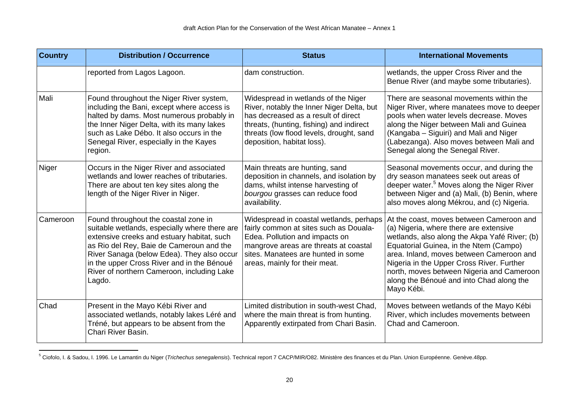| <b>Country</b> | <b>Distribution / Occurrence</b>                                                                                                                                                                                                                                                                                                    | <b>Status</b>                                                                                                                                                                                                                                 | <b>International Movements</b>                                                                                                                                                                                                                                                                                                                                                |
|----------------|-------------------------------------------------------------------------------------------------------------------------------------------------------------------------------------------------------------------------------------------------------------------------------------------------------------------------------------|-----------------------------------------------------------------------------------------------------------------------------------------------------------------------------------------------------------------------------------------------|-------------------------------------------------------------------------------------------------------------------------------------------------------------------------------------------------------------------------------------------------------------------------------------------------------------------------------------------------------------------------------|
|                | reported from Lagos Lagoon.                                                                                                                                                                                                                                                                                                         | dam construction.                                                                                                                                                                                                                             | wetlands, the upper Cross River and the<br>Benue River (and maybe some tributaries).                                                                                                                                                                                                                                                                                          |
| Mali           | Found throughout the Niger River system,<br>including the Bani, except where access is<br>halted by dams. Most numerous probably in<br>the Inner Niger Delta, with its many lakes<br>such as Lake Débo. It also occurs in the<br>Senegal River, especially in the Kayes<br>region.                                                  | Widespread in wetlands of the Niger<br>River, notably the Inner Niger Delta, but<br>has decreased as a result of direct<br>threats, (hunting, fishing) and indirect<br>threats (low flood levels, drought, sand<br>deposition, habitat loss). | There are seasonal movements within the<br>Niger River, where manatees move to deeper<br>pools when water levels decrease. Moves<br>along the Niger between Mali and Guinea<br>(Kangaba – Siguiri) and Mali and Niger<br>(Labezanga). Also moves between Mali and<br>Senegal along the Senegal River.                                                                         |
| Niger          | Occurs in the Niger River and associated<br>wetlands and lower reaches of tributaries.<br>There are about ten key sites along the<br>length of the Niger River in Niger.                                                                                                                                                            | Main threats are hunting, sand<br>deposition in channels, and isolation by<br>dams, whilst intense harvesting of<br>bourgou grasses can reduce food<br>availability.                                                                          | Seasonal movements occur, and during the<br>dry season manatees seek out areas of<br>deeper water. <sup>5</sup> Moves along the Niger River<br>between Niger and (a) Mali, (b) Benin, where<br>also moves along Mékrou, and (c) Nigeria.                                                                                                                                      |
| Cameroon       | Found throughout the coastal zone in<br>suitable wetlands, especially where there are<br>extensive creeks and estuary habitat, such<br>as Rio del Rey, Baie de Cameroun and the<br>River Sanaga (below Edea). They also occur<br>in the upper Cross River and in the Bénoué<br>River of northern Cameroon, including Lake<br>Lagdo. | Widespread in coastal wetlands, perhaps<br>fairly common at sites such as Douala-<br>Edea. Pollution and impacts on<br>mangrove areas are threats at coastal<br>sites. Manatees are hunted in some<br>areas, mainly for their meat.           | At the coast, moves between Cameroon and<br>(a) Nigeria, where there are extensive<br>wetlands, also along the Akpa Yafé River; (b)<br>Equatorial Guinea, in the Ntem (Campo)<br>area. Inland, moves between Cameroon and<br>Nigeria in the Upper Cross River. Further<br>north, moves between Nigeria and Cameroon<br>along the Bénoué and into Chad along the<br>Mayo Kébi. |
| Chad           | Present in the Mayo Kébi River and<br>associated wetlands, notably lakes Léré and<br>Tréné, but appears to be absent from the<br>Chari River Basin.                                                                                                                                                                                 | Limited distribution in south-west Chad,<br>where the main threat is from hunting.<br>Apparently extirpated from Chari Basin.                                                                                                                 | Moves between wetlands of the Mayo Kébi<br>River, which includes movements between<br>Chad and Cameroon.                                                                                                                                                                                                                                                                      |

<sup>5</sup> Ciofolo, I. & Sadou, I. 1996. Le Lamantin du Niger (*Trichechus senegalensis*). Technical report 7 CACP/MIR/O82. Ministère des finances et du Plan. Union Européenne. Genève.48pp.